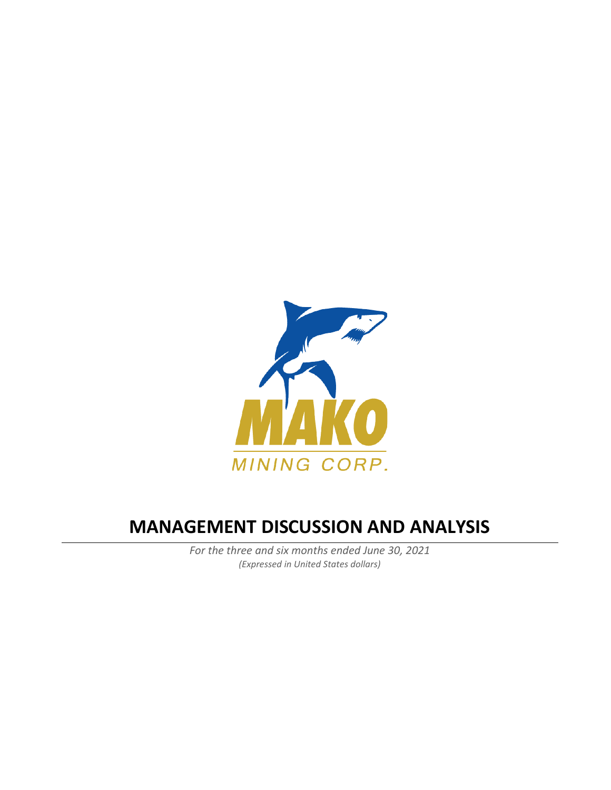

# **MANAGEMENT DISCUSSION AND ANALYSIS**

*For the three and six months ended June 30, 2021 (Expressed in United States dollars)*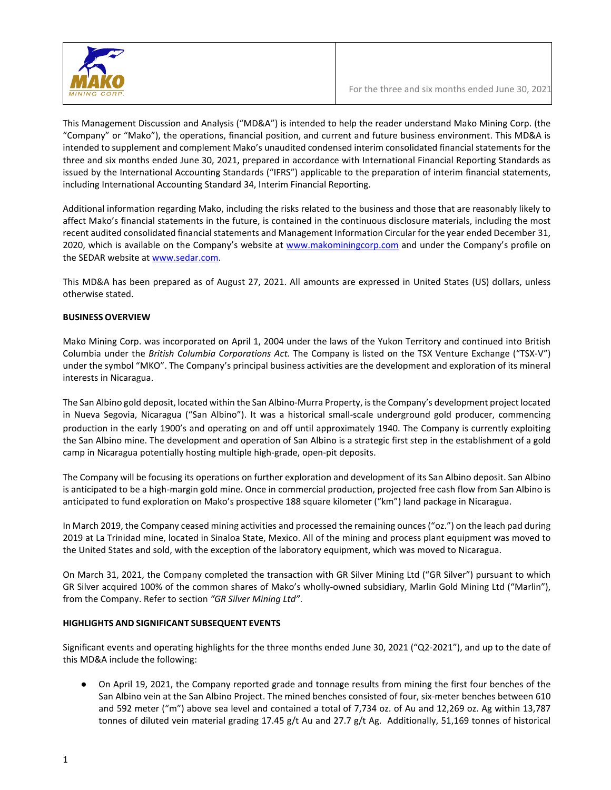

This Management Discussion and Analysis ("MD&A") is intended to help the reader understand Mako Mining Corp. (the "Company" or "Mako"), the operations, financial position, and current and future business environment. This MD&A is intended to supplement and complement Mako's unaudited condensed interim consolidated financial statements for the three and six months ended June 30, 2021, prepared in accordance with International Financial Reporting Standards as issued by the International Accounting Standards ("IFRS") applicable to the preparation of interim financial statements, including International Accounting Standard 34, Interim Financial Reporting.

Additional information regarding Mako, including the risks related to the business and those that are reasonably likely to affect Mako's financial statements in the future, is contained in the continuous disclosure materials, including the most recent audited consolidated financial statements and Management Information Circular for the year ended December 31, 2020, which is available on the Company's website at [www.makominingcorp.com](http://www.makominingcorp.com/) and under the Company's profile on the SEDAR website a[t www.sedar.com.](http://www.sedar.com/)

This MD&A has been prepared as of August 27, 2021. All amounts are expressed in United States (US) dollars, unless otherwise stated.

#### **BUSINESS OVERVIEW**

Mako Mining Corp. was incorporated on April 1, 2004 under the laws of the Yukon Territory and continued into British Columbia under the *British Columbia Corporations Act.* The Company is listed on the TSX Venture Exchange ("TSX-V") under the symbol "MKO". The Company's principal business activities are the development and exploration of its mineral interests in Nicaragua.

The San Albino gold deposit, located within the San Albino-Murra Property, is the Company's development project located in Nueva Segovia, Nicaragua ("San Albino"). It was a historical small-scale underground gold producer, commencing production in the early 1900's and operating on and off until approximately 1940. The Company is currently exploiting the San Albino mine. The development and operation of San Albino is a strategic first step in the establishment of a gold camp in Nicaragua potentially hosting multiple high-grade, open-pit deposits.

The Company will be focusing its operations on further exploration and development of its San Albino deposit. San Albino is anticipated to be a high-margin gold mine. Once in commercial production, projected free cash flow from San Albino is anticipated to fund exploration on Mako's prospective 188 square kilometer ("km") land package in Nicaragua.

In March 2019, the Company ceased mining activities and processed the remaining ounces ("oz.") on the leach pad during 2019 at La Trinidad mine, located in Sinaloa State, Mexico. All of the mining and process plant equipment was moved to the United States and sold, with the exception of the laboratory equipment, which was moved to Nicaragua.

On March 31, 2021, the Company completed the transaction with GR Silver Mining Ltd ("GR Silver") pursuant to which GR Silver acquired 100% of the common shares of Mako's wholly-owned subsidiary, Marlin Gold Mining Ltd ("Marlin"), from the Company. Refer to section *"GR Silver Mining Ltd"*.

#### **HIGHLIGHTS AND SIGNIFICANT SUBSEQUENT EVENTS**

Significant events and operating highlights for the three months ended June 30, 2021 ("Q2-2021"), and up to the date of this MD&A include the following:

● On April 19, 2021, the Company reported grade and tonnage results from mining the first four benches of the San Albino vein at the San Albino Project. The mined benches consisted of four, six-meter benches between 610 and 592 meter ("m") above sea level and contained a total of 7,734 oz. of Au and 12,269 oz. Ag within 13,787 tonnes of diluted vein material grading 17.45 g/t Au and 27.7 g/t Ag. Additionally, 51,169 tonnes of historical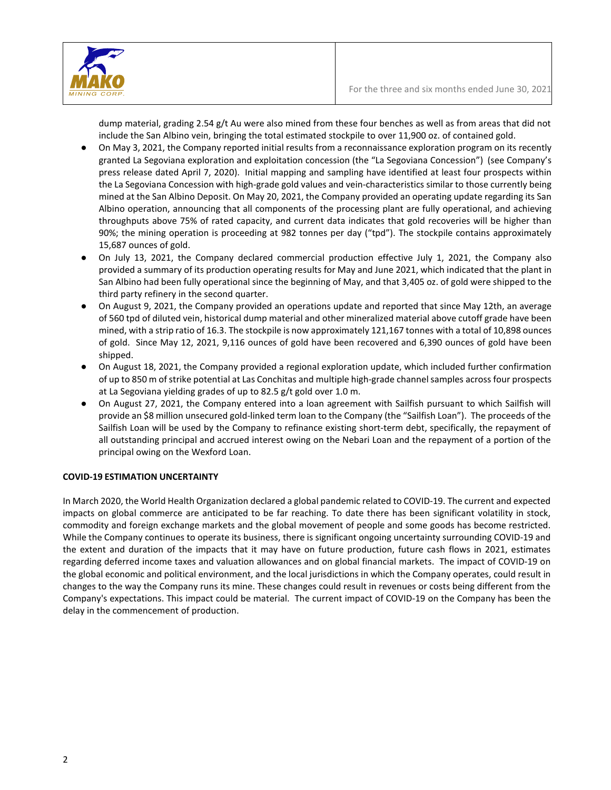

dump material, grading 2.54 g/t Au were also mined from these four benches as well as from areas that did not include the San Albino vein, bringing the total estimated stockpile to over 11,900 oz. of contained gold.

- On May 3, 2021, the Company reported initial results from a reconnaissance exploration program on its recently granted La Segoviana exploration and exploitation concession (the "La Segoviana Concession") (see Company's press release dated April 7, 2020). Initial mapping and sampling have identified at least four prospects within the La Segoviana Concession with high-grade gold values and vein-characteristics similar to those currently being mined at the San Albino Deposit. On May 20, 2021, the Company provided an operating update regarding its San Albino operation, announcing that all components of the processing plant are fully operational, and achieving throughputs above 75% of rated capacity, and current data indicates that gold recoveries will be higher than 90%; the mining operation is proceeding at 982 tonnes per day ("tpd"). The stockpile contains approximately 15,687 ounces of gold.
- On July 13, 2021, the Company declared commercial production effective July 1, 2021, the Company also provided a summary of its production operating results for May and June 2021, which indicated that the plant in San Albino had been fully operational since the beginning of May, and that 3,405 oz. of gold were shipped to the third party refinery in the second quarter.
- On August 9, 2021, the Company provided an operations update and reported that since May 12th, an average of 560 tpd of diluted vein, historical dump material and other mineralized material above cutoff grade have been mined, with a strip ratio of 16.3. The stockpile is now approximately 121,167 tonnes with a total of 10,898 ounces of gold. Since May 12, 2021, 9,116 ounces of gold have been recovered and 6,390 ounces of gold have been shipped.
- On August 18, 2021, the Company provided a regional exploration update, which included further confirmation of up to 850 m of strike potential at Las Conchitas and multiple high-grade channel samples across four prospects at La Segoviana yielding grades of up to 82.5 g/t gold over 1.0 m.
- On August 27, 2021, the Company entered into a loan agreement with Sailfish pursuant to which Sailfish will provide an \$8 million unsecured gold-linked term loan to the Company (the "Sailfish Loan"). The proceeds of the Sailfish Loan will be used by the Company to refinance existing short-term debt, specifically, the repayment of all outstanding principal and accrued interest owing on the Nebari Loan and the repayment of a portion of the principal owing on the Wexford Loan.

# **COVID-19 ESTIMATION UNCERTAINTY**

In March 2020, the World Health Organization declared a global pandemic related to COVID-19. The current and expected impacts on global commerce are anticipated to be far reaching. To date there has been significant volatility in stock, commodity and foreign exchange markets and the global movement of people and some goods has become restricted. While the Company continues to operate its business, there is significant ongoing uncertainty surrounding COVID-19 and the extent and duration of the impacts that it may have on future production, future cash flows in 2021, estimates regarding deferred income taxes and valuation allowances and on global financial markets. The impact of COVID-19 on the global economic and political environment, and the local jurisdictions in which the Company operates, could result in changes to the way the Company runs its mine. These changes could result in revenues or costs being different from the Company's expectations. This impact could be material. The current impact of COVID-19 on the Company has been the delay in the commencement of production.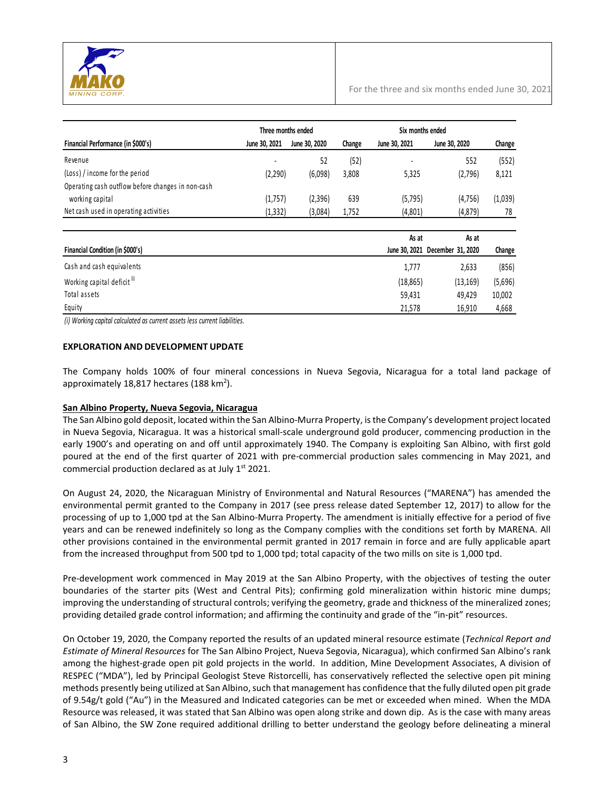

|                                                   | Three months ended |               |        | Six months ended |                                 |         |
|---------------------------------------------------|--------------------|---------------|--------|------------------|---------------------------------|---------|
| Financial Performance (in \$000's)                | June 30, 2021      | June 30, 2020 | Change | June 30, 2021    | June 30, 2020                   | Change  |
| Revenue                                           |                    | 52            | (52)   |                  | 552                             | (552)   |
| (Loss) / income for the period                    | (2,290)            | (6,098)       | 3,808  | 5,325            | (2,796)                         | 8,121   |
| Operating cash outflow before changes in non-cash |                    |               |        |                  |                                 |         |
| working capital                                   | (1,757)            | (2,396)       | 639    | (5, 795)         | (4,756)                         | (1,039) |
| Net cash used in operating activities             | (1, 332)           | (3,084)       | 1,752  | (4,801)          | (4, 879)                        | 78      |
|                                                   |                    |               |        | As at            | As at                           |         |
| Financial Condition (in \$000's)                  |                    |               |        |                  | June 30, 2021 December 31, 2020 | Change  |
| Cash and cash equivalents                         |                    |               |        | 1,777            | 2,633                           | (856)   |

| CONTRAIN CONTRACTOR                    | 1.111    | ددں,∠     | וטכסו   |
|----------------------------------------|----------|-----------|---------|
| Working capital deficit <sup>(i)</sup> | (18.865) | (13, 169) | (5,696) |
| Total assets                           | 59.431   | 49.429    | 10,002  |
| Equity                                 | 21.578   | 16.910    | 4,668   |

*(i) Working capital calculated as current assets less current liabilities.*

#### **EXPLORATION AND DEVELOPMENT UPDATE**

The Company holds 100% of four mineral concessions in Nueva Segovia, Nicaragua for a total land package of approximately 18,817 hectares (188 km<sup>2</sup>).

#### **San Albino Property, Nueva Segovia, Nicaragua**

The San Albino gold deposit, located within the San Albino-Murra Property, is the Company's development project located in Nueva Segovia, Nicaragua. It was a historical small-scale underground gold producer, commencing production in the early 1900's and operating on and off until approximately 1940. The Company is exploiting San Albino, with first gold poured at the end of the first quarter of 2021 with pre-commercial production sales commencing in May 2021, and commercial production declared as at July  $1<sup>st</sup>$  2021.

On August 24, 2020, the Nicaraguan Ministry of Environmental and Natural Resources ("MARENA") has amended the environmental permit granted to the Company in 2017 (see press release dated September 12, 2017) to allow for the processing of up to 1,000 tpd at the San Albino-Murra Property. The amendment is initially effective for a period of five years and can be renewed indefinitely so long as the Company complies with the conditions set forth by MARENA. All other provisions contained in the environmental permit granted in 2017 remain in force and are fully applicable apart from the increased throughput from 500 tpd to 1,000 tpd; total capacity of the two mills on site is 1,000 tpd.

Pre-development work commenced in May 2019 at the San Albino Property, with the objectives of testing the outer boundaries of the starter pits (West and Central Pits); confirming gold mineralization within historic mine dumps; improving the understanding of structural controls; verifying the geometry, grade and thickness of the mineralized zones; providing detailed grade control information; and affirming the continuity and grade of the "in-pit" resources.

On October 19, 2020, the Company reported the results of an updated mineral resource estimate (*Technical Report and Estimate of Mineral Resources* for The San Albino Project, Nueva Segovia, Nicaragua), which confirmed San Albino's rank among the highest-grade open pit gold projects in the world. In addition, Mine Development Associates, A division of RESPEC ("MDA"), led by Principal Geologist Steve Ristorcelli, has conservatively reflected the selective open pit mining methods presently being utilized at San Albino, such that management has confidence that the fully diluted open pit grade of 9.54g/t gold ("Au") in the Measured and Indicated categories can be met or exceeded when mined. When the MDA Resource was released, it was stated that San Albino was open along strike and down dip. As is the case with many areas of San Albino, the SW Zone required additional drilling to better understand the geology before delineating a mineral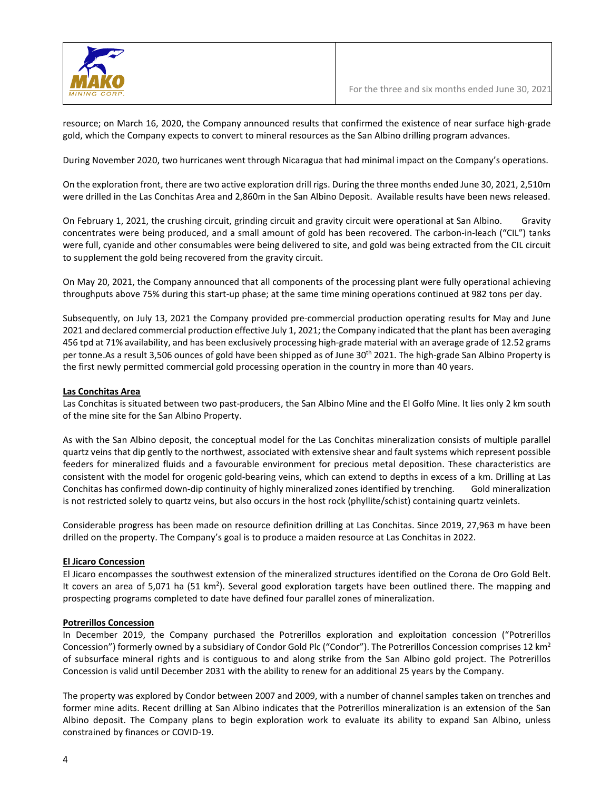

resource; on March 16, 2020, the Company announced results that confirmed the existence of near surface high-grade gold, which the Company expects to convert to mineral resources as the San Albino drilling program advances.

During November 2020, two hurricanes went through Nicaragua that had minimal impact on the Company's operations.

On the exploration front, there are two active exploration drill rigs. During the three months ended June 30, 2021, 2,510m were drilled in the Las Conchitas Area and 2,860m in the San Albino Deposit. Available results have been news released.

On February 1, 2021, the crushing circuit, grinding circuit and gravity circuit were operational at San Albino. Gravity concentrates were being produced, and a small amount of gold has been recovered. The carbon-in-leach ("CIL") tanks were full, cyanide and other consumables were being delivered to site, and gold was being extracted from the CIL circuit to supplement the gold being recovered from the gravity circuit.

On May 20, 2021, the Company announced that all components of the processing plant were fully operational achieving throughputs above 75% during this start-up phase; at the same time mining operations continued at 982 tons per day.

Subsequently, on July 13, 2021 the Company provided pre-commercial production operating results for May and June 2021 and declared commercial production effective July 1, 2021; the Company indicated that the plant has been averaging 456 tpd at 71% availability, and has been exclusively processing high-grade material with an average grade of 12.52 grams per tonne.As a result 3,506 ounces of gold have been shipped as of June 30<sup>th</sup> 2021. The high-grade San Albino Property is the first newly permitted commercial gold processing operation in the country in more than 40 years.

#### **Las Conchitas Area**

Las Conchitas is situated between two past-producers, the San Albino Mine and the El Golfo Mine. It lies only 2 km south of the mine site for the San Albino Property.

As with the San Albino deposit, the conceptual model for the Las Conchitas mineralization consists of multiple parallel quartz veins that dip gently to the northwest, associated with extensive shear and fault systems which represent possible feeders for mineralized fluids and a favourable environment for precious metal deposition. These characteristics are consistent with the model for orogenic gold-bearing veins, which can extend to depths in excess of a km. Drilling at Las Conchitas has confirmed down-dip continuity of highly mineralized zones identified by trenching. Gold mineralization is not restricted solely to quartz veins, but also occurs in the host rock (phyllite/schist) containing quartz veinlets.

Considerable progress has been made on resource definition drilling at Las Conchitas. Since 2019, 27,963 m have been drilled on the property. The Company's goal is to produce a maiden resource at Las Conchitas in 2022.

#### **El Jicaro Concession**

El Jicaro encompasses the southwest extension of the mineralized structures identified on the Corona de Oro Gold Belt. It covers an area of 5,071 ha (51 km<sup>2</sup>). Several good exploration targets have been outlined there. The mapping and prospecting programs completed to date have defined four parallel zones of mineralization.

#### **Potrerillos Concession**

In December 2019, the Company purchased the Potrerillos exploration and exploitation concession ("Potrerillos Concession") formerly owned by a subsidiary of Condor Gold Plc ("Condor"). The Potrerillos Concession comprises 12 km<sup>2</sup> of subsurface mineral rights and is contiguous to and along strike from the San Albino gold project. The Potrerillos Concession is valid until December 2031 with the ability to renew for an additional 25 years by the Company.

The property was explored by Condor between 2007 and 2009, with a number of channel samples taken on trenches and former mine adits. Recent drilling at San Albino indicates that the Potrerillos mineralization is an extension of the San Albino deposit. The Company plans to begin exploration work to evaluate its ability to expand San Albino, unless constrained by finances or COVID-19.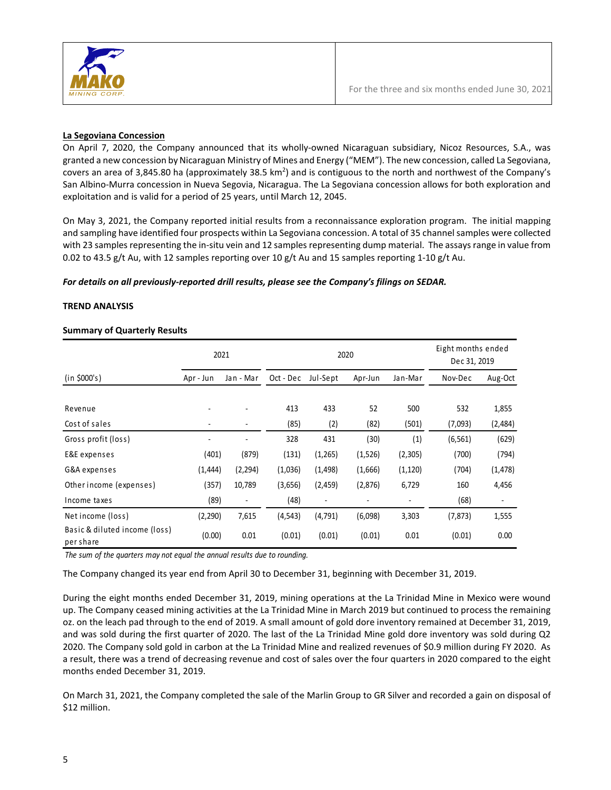

#### **La Segoviana Concession**

On April 7, 2020, the Company announced that its wholly-owned Nicaraguan subsidiary, Nicoz Resources, S.A., was granted a new concession by Nicaraguan Ministry of Mines and Energy ("MEM"). The new concession, called La Segoviana, covers an area of 3,845.80 ha (approximately 38.5 km<sup>2</sup>) and is contiguous to the north and northwest of the Company's San Albino-Murra concession in Nueva Segovia, Nicaragua. The La Segoviana concession allows for both exploration and exploitation and is valid for a period of 25 years, until March 12, 2045.

On May 3, 2021, the Company reported initial results from a reconnaissance exploration program. The initial mapping and sampling have identified four prospects within La Segoviana concession. A total of 35 channel samples were collected with 23 samples representing the in-situ vein and 12 samples representing dump material. The assays range in value from 0.02 to 43.5 g/t Au, with 12 samples reporting over 10 g/t Au and 15 samples reporting 1-10 g/t Au.

#### *For details on all previously-reported drill results, please see the Company's filings on SEDAR.*

# **TREND ANALYSIS**

# **Summary of Quarterly Results**

|                                            |                          | 2021      |           | 2020                     | Eight months ended<br>Dec 31, 2019 |                          |          |          |
|--------------------------------------------|--------------------------|-----------|-----------|--------------------------|------------------------------------|--------------------------|----------|----------|
| (in \$000's)                               | Apr - Jun                | Jan - Mar | Oct - Dec | Jul-Sept                 | Apr-Jun                            | Jan-Mar                  | Nov-Dec  | Aug-Oct  |
| Revenue                                    |                          |           | 413       | 433                      | 52                                 | 500                      | 532      | 1,855    |
| Cost of sales                              |                          |           | (85)      | (2)                      | (82)                               | (501)                    | (7,093)  | (2,484)  |
| Gross profit (loss)                        | $\overline{\phantom{a}}$ | ٠         | 328       | 431                      | (30)                               | (1)                      | (6, 561) | (629)    |
| E&E expenses                               | (401)                    | (879)     | (131)     | (1,265)                  | (1,526)                            | (2,305)                  | (700)    | (794)    |
| G&A expenses                               | (1, 444)                 | (2, 294)  | (1,036)   | (1, 498)                 | (1,666)                            | (1, 120)                 | (704)    | (1, 478) |
| Other income (expenses)                    | (357)                    | 10,789    | (3,656)   | (2,459)                  | (2,876)                            | 6,729                    | 160      | 4,456    |
| Income taxes                               | (89)                     | ٠         | (48)      | $\overline{\phantom{a}}$ | ۰                                  | $\overline{\phantom{a}}$ | (68)     | ٠        |
| Net income (loss)                          | (2, 290)                 | 7,615     | (4, 543)  | (4, 791)                 | (6,098)                            | 3,303                    | (7, 873) | 1,555    |
| Basic & diluted income (loss)<br>per share | (0.00)                   | 0.01      | (0.01)    | (0.01)                   | (0.01)                             | 0.01                     | (0.01)   | 0.00     |

*The sum of the quarters may not equal the annual results due to rounding.*

The Company changed its year end from April 30 to December 31, beginning with December 31, 2019.

During the eight months ended December 31, 2019, mining operations at the La Trinidad Mine in Mexico were wound up. The Company ceased mining activities at the La Trinidad Mine in March 2019 but continued to process the remaining oz. on the leach pad through to the end of 2019. A small amount of gold dore inventory remained at December 31, 2019, and was sold during the first quarter of 2020. The last of the La Trinidad Mine gold dore inventory was sold during Q2 2020. The Company sold gold in carbon at the La Trinidad Mine and realized revenues of \$0.9 million during FY 2020. As a result, there was a trend of decreasing revenue and cost of sales over the four quarters in 2020 compared to the eight months ended December 31, 2019.

On March 31, 2021, the Company completed the sale of the Marlin Group to GR Silver and recorded a gain on disposal of \$12 million.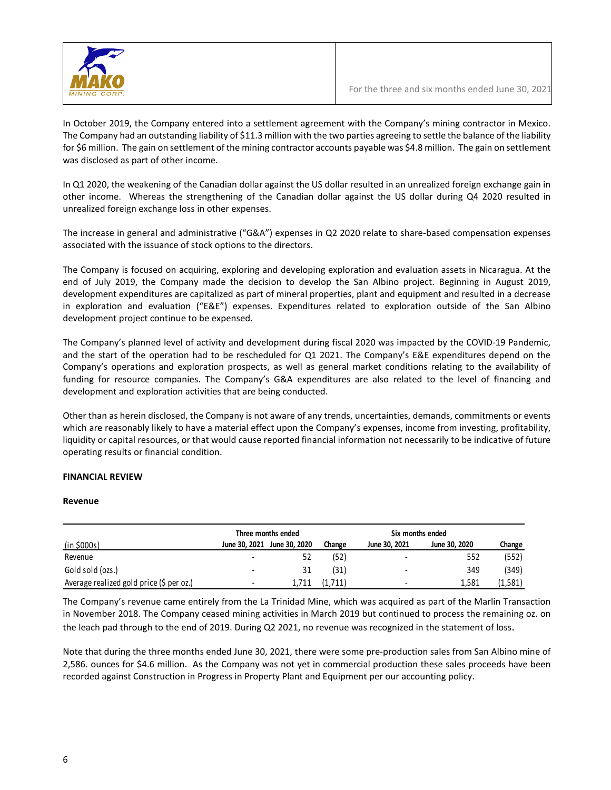

In October 2019, the Company entered into a settlement agreement with the Company's mining contractor in Mexico. The Company had an outstanding liability of \$11.3 million with the two parties agreeing to settle the balance of the liability for \$6 million. The gain on settlement of the mining contractor accounts payable was \$4.8 million. The gain on settlement was disclosed as part of other income.

In Q1 2020, the weakening of the Canadian dollar against the US dollar resulted in an unrealized foreign exchange gain in other income. Whereas the strengthening of the Canadian dollar against the US dollar during Q4 2020 resulted in unrealized foreign exchange loss in other expenses.

The increase in general and administrative ("G&A") expenses in Q2 2020 relate to share-based compensation expenses associated with the issuance of stock options to the directors.

The Company is focused on acquiring, exploring and developing exploration and evaluation assets in Nicaragua. At the end of July 2019, the Company made the decision to develop the San Albino project. Beginning in August 2019, development expenditures are capitalized as part of mineral properties, plant and equipment and resulted in a decrease in exploration and evaluation ("E&E") expenses. Expenditures related to exploration outside of the San Albino development project continue to be expensed.

The Company's planned level of activity and development during fiscal 2020 was impacted by the COVID-19 Pandemic, and the start of the operation had to be rescheduled for Q1 2021. The Company's E&E expenditures depend on the Company's operations and exploration prospects, as well as general market conditions relating to the availability of funding for resource companies. The Company's G&A expenditures are also related to the level of financing and development and exploration activities that are being conducted.

Other than as herein disclosed, the Company is not aware of any trends, uncertainties, demands, commitments or events which are reasonably likely to have a material effect upon the Company's expenses, income from investing, profitability, liquidity or capital resources, or that would cause reported financial information not necessarily to be indicative of future operating results or financial condition.

#### **FINANCIAL REVIEW**

#### **Revenue**

|                                          |               | Three months ended |         | Six months ended         |               |         |
|------------------------------------------|---------------|--------------------|---------|--------------------------|---------------|---------|
| <u>(in \$000s)</u>                       | June 30, 2021 | June 30, 2020      | Change  | June 30, 2021            | June 30, 2020 | Change  |
| Revenue                                  | -             |                    | (52)    | -                        | 552           | (552)   |
| Gold sold (ozs.)                         | -             | 31                 | (31)    | $\overline{\phantom{a}}$ | 349           | (349)   |
| Average realized gold price (\$ per oz.) | ۰.            | 1.711              | (1,711) | -                        | 1.581         | (1,581) |

The Company's revenue came entirely from the La Trinidad Mine, which was acquired as part of the Marlin Transaction in November 2018. The Company ceased mining activities in March 2019 but continued to process the remaining oz. on the leach pad through to the end of 2019. During Q2 2021, no revenue was recognized in the statement of loss.

Note that during the three months ended June 30, 2021, there were some pre-production sales from San Albino mine of 2,586. ounces for \$4.6 million. As the Company was not yet in commercial production these sales proceeds have been recorded against Construction in Progress in Property Plant and Equipment per our accounting policy.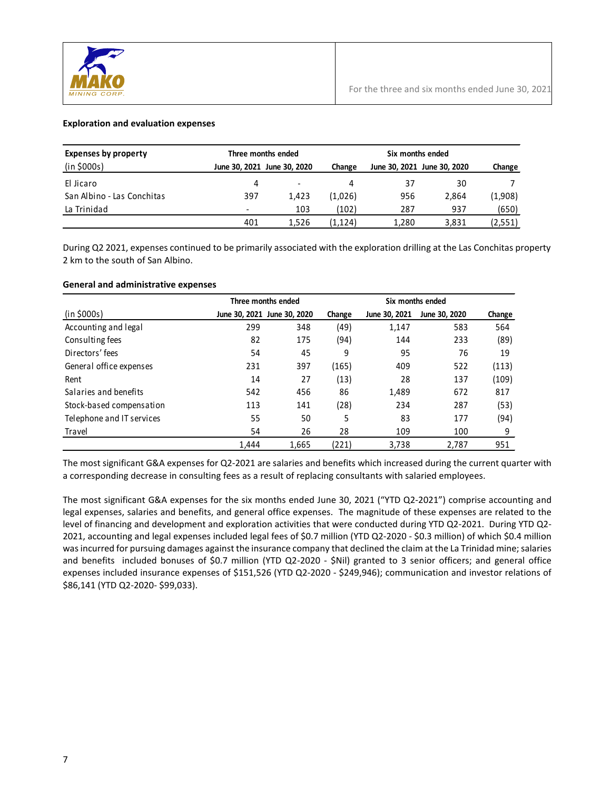

#### **Exploration and evaluation expenses**

| <b>Expenses by property</b> |                          | Three months ended          |          |       |                             |         |
|-----------------------------|--------------------------|-----------------------------|----------|-------|-----------------------------|---------|
| (in \$000s)                 |                          | June 30, 2021 June 30, 2020 | Change   |       | June 30, 2021 June 30, 2020 | Change  |
| El Jicaro                   | 4                        | $\overline{\phantom{a}}$    |          | 37    | 30                          |         |
| San Albino - Las Conchitas  | 397                      | 1.423                       | (1,026)  | 956   | 2,864                       | (1,908) |
| La Trinidad                 | $\overline{\phantom{a}}$ | 103                         | (102)    | 287   | 937                         | (650)   |
|                             | 401                      | 1.526                       | (1, 124) | 1.280 | 3,831                       | (2,551) |

During Q2 2021, expenses continued to be primarily associated with the exploration drilling at the Las Conchitas property 2 km to the south of San Albino.

#### **General and administrative expenses**

|                           |       | Three months ended          |        | Six months ended |               |        |
|---------------------------|-------|-----------------------------|--------|------------------|---------------|--------|
| (in \$000s)               |       | June 30, 2021 June 30, 2020 | Change | June 30, 2021    | June 30, 2020 | Change |
| Accounting and legal      | 299   | 348                         | (49)   | 1,147            | 583           | 564    |
| Consulting fees           | 82    | 175                         | (94)   | 144              | 233           | (89)   |
| Directors' fees           | 54    | 45                          | 9      | 95               | 76            | 19     |
| General office expenses   | 231   | 397                         | (165)  | 409              | 522           | (113)  |
| Rent                      | 14    | 27                          | (13)   | 28               | 137           | (109)  |
| Salaries and benefits     | 542   | 456                         | 86     | 1,489            | 672           | 817    |
| Stock-based compensation  | 113   | 141                         | (28)   | 234              | 287           | (53)   |
| Telephone and IT services | 55    | 50                          | 5      | 83               | 177           | (94)   |
| Travel                    | 54    | 26                          | 28     | 109              | 100           | 9      |
|                           | 1.444 | 1,665                       | (221)  | 3,738            | 2,787         | 951    |

The most significant G&A expenses for Q2-2021 are salaries and benefits which increased during the current quarter with a corresponding decrease in consulting fees as a result of replacing consultants with salaried employees.

The most significant G&A expenses for the six months ended June 30, 2021 ("YTD Q2-2021") comprise accounting and legal expenses, salaries and benefits, and general office expenses. The magnitude of these expenses are related to the level of financing and development and exploration activities that were conducted during YTD Q2-2021. During YTD Q2- 2021, accounting and legal expenses included legal fees of \$0.7 million (YTD Q2-2020 - \$0.3 million) of which \$0.4 million was incurred for pursuing damages against the insurance company that declined the claim at the La Trinidad mine; salaries and benefits included bonuses of \$0.7 million (YTD Q2-2020 - \$Nil) granted to 3 senior officers; and general office expenses included insurance expenses of \$151,526 (YTD Q2-2020 - \$249,946); communication and investor relations of \$86,141 (YTD Q2-2020- \$99,033).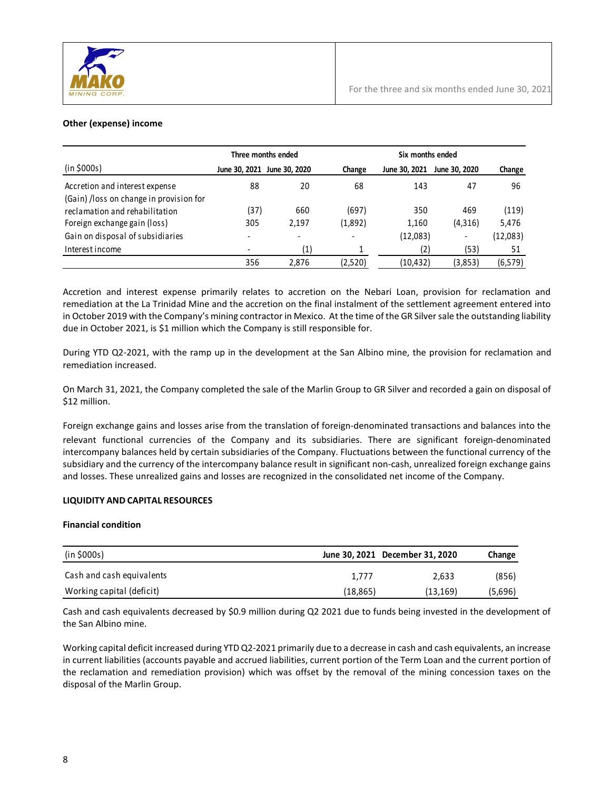

# **Other (expense) income**

|                                         |      | Three months ended          |         | Six months ended |               |           |  |  |  |
|-----------------------------------------|------|-----------------------------|---------|------------------|---------------|-----------|--|--|--|
| (in \$000s)                             |      | June 30, 2021 June 30, 2020 | Change  | June 30, 2021    | June 30, 2020 | Change    |  |  |  |
| Accretion and interest expense          | 88   | 20                          | 68      | 143              | 47            | 96        |  |  |  |
| (Gain) /loss on change in provision for |      |                             |         |                  |               |           |  |  |  |
| reclamation and rehabilitation          | (37) | 660                         | (697)   | 350              | 469           | (119)     |  |  |  |
| Foreign exchange gain (loss)            | 305  | 2,197                       | (1,892) | 1,160            | (4,316)       | 5,476     |  |  |  |
| Gain on disposal of subsidiaries        |      | $\overline{\phantom{a}}$    |         | (12,083)         | -             | (12, 083) |  |  |  |
| Interest income                         |      | $\left( 1\right)$           |         | (2)              | (53)          | 51        |  |  |  |
|                                         | 356  | 2,876                       | (2,520) | (10,432)         | (3,853)       | (6, 579)  |  |  |  |

Accretion and interest expense primarily relates to accretion on the Nebari Loan, provision for reclamation and remediation at the La Trinidad Mine and the accretion on the final instalment of the settlement agreement entered into in October 2019 with the Company's mining contractor in Mexico. At the time of the GR Silver sale the outstanding liability due in October 2021, is \$1 million which the Company is still responsible for.

During YTD Q2-2021, with the ramp up in the development at the San Albino mine, the provision for reclamation and remediation increased.

On March 31, 2021, the Company completed the sale of the Marlin Group to GR Silver and recorded a gain on disposal of \$12 million.

Foreign exchange gains and losses arise from the translation of foreign-denominated transactions and balances into the relevant functional currencies of the Company and its subsidiaries. There are significant foreign-denominated intercompany balances held by certain subsidiaries of the Company. Fluctuations between the functional currency of the subsidiary and the currency of the intercompany balance result in significant non-cash, unrealized foreign exchange gains and losses. These unrealized gains and losses are recognized in the consolidated net income of the Company.

#### **LIQUIDITY AND CAPITAL RESOURCES**

#### **Financial condition**

| (in \$000s)               |           | June 30, 2021 December 31, 2020 | Change  |
|---------------------------|-----------|---------------------------------|---------|
| Cash and cash equivalents | 1.777     | 2.633                           | (856)   |
| Working capital (deficit) | (18, 865) | (13, 169)                       | (5,696) |

Cash and cash equivalents decreased by \$0.9 million during Q2 2021 due to funds being invested in the development of the San Albino mine.

Working capital deficit increased during YTD Q2-2021 primarily due to a decrease in cash and cash equivalents, an increase in current liabilities (accounts payable and accrued liabilities, current portion of the Term Loan and the current portion of the reclamation and remediation provision) which was offset by the removal of the mining concession taxes on the disposal of the Marlin Group.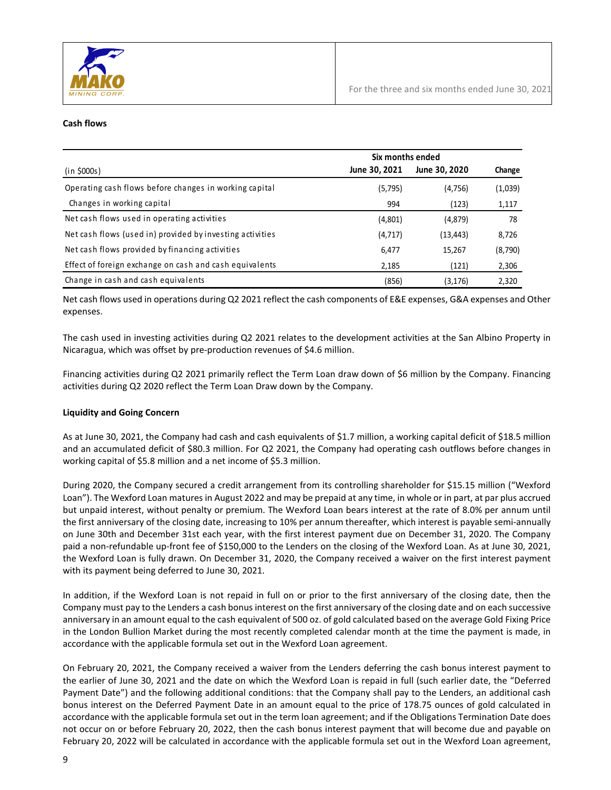

#### **Cash flows**

|                                                           | Six months ended |               |         |  |  |
|-----------------------------------------------------------|------------------|---------------|---------|--|--|
| (in \$000s)                                               | June 30, 2021    | June 30, 2020 | Change  |  |  |
| Operating cash flows before changes in working capital    | (5,795)          | (4, 756)      | (1,039) |  |  |
| Changes in working capital                                | 994              | (123)         | 1,117   |  |  |
| Net cash flows used in operating activities               | (4,801)          | (4,879)       | 78      |  |  |
| Net cash flows (used in) provided by investing activities | (4, 717)         | (13, 443)     | 8,726   |  |  |
| Net cash flows provided by financing activities           | 6,477            | 15,267        | (8,790) |  |  |
| Effect of foreign exchange on cash and cash equivalents   | 2,185            | (121)         | 2,306   |  |  |
| Change in cash and cash equivalents                       | (856)            | (3, 176)      | 2,320   |  |  |

Net cash flows used in operations during Q2 2021 reflect the cash components of E&E expenses, G&A expenses and Other expenses.

The cash used in investing activities during Q2 2021 relates to the development activities at the San Albino Property in Nicaragua, which was offset by pre-production revenues of \$4.6 million.

Financing activities during Q2 2021 primarily reflect the Term Loan draw down of \$6 million by the Company. Financing activities during Q2 2020 reflect the Term Loan Draw down by the Company.

#### **Liquidity and Going Concern**

As at June 30, 2021, the Company had cash and cash equivalents of \$1.7 million, a working capital deficit of \$18.5 million and an accumulated deficit of \$80.3 million. For Q2 2021, the Company had operating cash outflows before changes in working capital of \$5.8 million and a net income of \$5.3 million.

During 2020, the Company secured a credit arrangement from its controlling shareholder for \$15.15 million ("Wexford Loan"). The Wexford Loan matures in August 2022 and may be prepaid at any time, in whole or in part, at par plus accrued but unpaid interest, without penalty or premium. The Wexford Loan bears interest at the rate of 8.0% per annum until the first anniversary of the closing date, increasing to 10% per annum thereafter, which interest is payable semi-annually on June 30th and December 31st each year, with the first interest payment due on December 31, 2020. The Company paid a non-refundable up-front fee of \$150,000 to the Lenders on the closing of the Wexford Loan. As at June 30, 2021, the Wexford Loan is fully drawn. On December 31, 2020, the Company received a waiver on the first interest payment with its payment being deferred to June 30, 2021.

In addition, if the Wexford Loan is not repaid in full on or prior to the first anniversary of the closing date, then the Company must pay to the Lenders a cash bonus interest on the first anniversary of the closing date and on each successive anniversary in an amount equal to the cash equivalent of 500 oz. of gold calculated based on the average Gold Fixing Price in the London Bullion Market during the most recently completed calendar month at the time the payment is made, in accordance with the applicable formula set out in the Wexford Loan agreement.

On February 20, 2021, the Company received a waiver from the Lenders deferring the cash bonus interest payment to the earlier of June 30, 2021 and the date on which the Wexford Loan is repaid in full (such earlier date, the "Deferred Payment Date") and the following additional conditions: that the Company shall pay to the Lenders, an additional cash bonus interest on the Deferred Payment Date in an amount equal to the price of 178.75 ounces of gold calculated in accordance with the applicable formula set out in the term loan agreement; and if the Obligations Termination Date does not occur on or before February 20, 2022, then the cash bonus interest payment that will become due and payable on February 20, 2022 will be calculated in accordance with the applicable formula set out in the Wexford Loan agreement,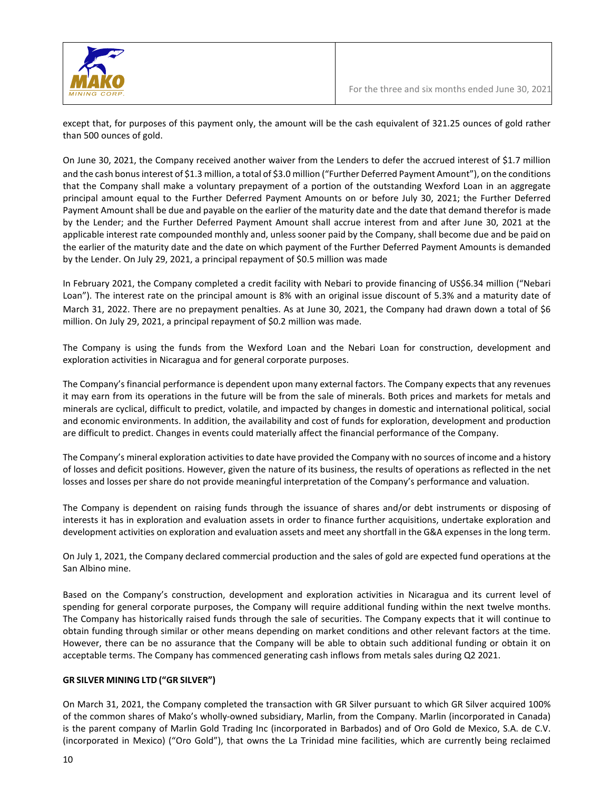

except that, for purposes of this payment only, the amount will be the cash equivalent of 321.25 ounces of gold rather than 500 ounces of gold.

On June 30, 2021, the Company received another waiver from the Lenders to defer the accrued interest of \$1.7 million and the cash bonus interest of \$1.3 million, a total of \$3.0 million ("Further Deferred Payment Amount"), on the conditions that the Company shall make a voluntary prepayment of a portion of the outstanding Wexford Loan in an aggregate principal amount equal to the Further Deferred Payment Amounts on or before July 30, 2021; the Further Deferred Payment Amount shall be due and payable on the earlier of the maturity date and the date that demand therefor is made by the Lender; and the Further Deferred Payment Amount shall accrue interest from and after June 30, 2021 at the applicable interest rate compounded monthly and, unless sooner paid by the Company, shall become due and be paid on the earlier of the maturity date and the date on which payment of the Further Deferred Payment Amounts is demanded by the Lender. On July 29, 2021, a principal repayment of \$0.5 million was made

In February 2021, the Company completed a credit facility with Nebari to provide financing of US\$6.34 million ("Nebari Loan"). The interest rate on the principal amount is 8% with an original issue discount of 5.3% and a maturity date of March 31, 2022. There are no prepayment penalties. As at June 30, 2021, the Company had drawn down a total of \$6 million. On July 29, 2021, a principal repayment of \$0.2 million was made.

The Company is using the funds from the Wexford Loan and the Nebari Loan for construction, development and exploration activities in Nicaragua and for general corporate purposes.

The Company's financial performance is dependent upon many external factors. The Company expects that any revenues it may earn from its operations in the future will be from the sale of minerals. Both prices and markets for metals and minerals are cyclical, difficult to predict, volatile, and impacted by changes in domestic and international political, social and economic environments. In addition, the availability and cost of funds for exploration, development and production are difficult to predict. Changes in events could materially affect the financial performance of the Company.

The Company's mineral exploration activities to date have provided the Company with no sources of income and a history of losses and deficit positions. However, given the nature of its business, the results of operations as reflected in the net losses and losses per share do not provide meaningful interpretation of the Company's performance and valuation.

The Company is dependent on raising funds through the issuance of shares and/or debt instruments or disposing of interests it has in exploration and evaluation assets in order to finance further acquisitions, undertake exploration and development activities on exploration and evaluation assets and meet any shortfall in the G&A expenses in the long term.

On July 1, 2021, the Company declared commercial production and the sales of gold are expected fund operations at the San Albino mine.

Based on the Company's construction, development and exploration activities in Nicaragua and its current level of spending for general corporate purposes, the Company will require additional funding within the next twelve months. The Company has historically raised funds through the sale of securities. The Company expects that it will continue to obtain funding through similar or other means depending on market conditions and other relevant factors at the time. However, there can be no assurance that the Company will be able to obtain such additional funding or obtain it on acceptable terms. The Company has commenced generating cash inflows from metals sales during Q2 2021.

#### **GR SILVER MINING LTD ("GR SILVER")**

On March 31, 2021, the Company completed the transaction with GR Silver pursuant to which GR Silver acquired 100% of the common shares of Mako's wholly-owned subsidiary, Marlin, from the Company. Marlin (incorporated in Canada) is the parent company of Marlin Gold Trading Inc (incorporated in Barbados) and of Oro Gold de Mexico, S.A. de C.V. (incorporated in Mexico) ("Oro Gold"), that owns the La Trinidad mine facilities, which are currently being reclaimed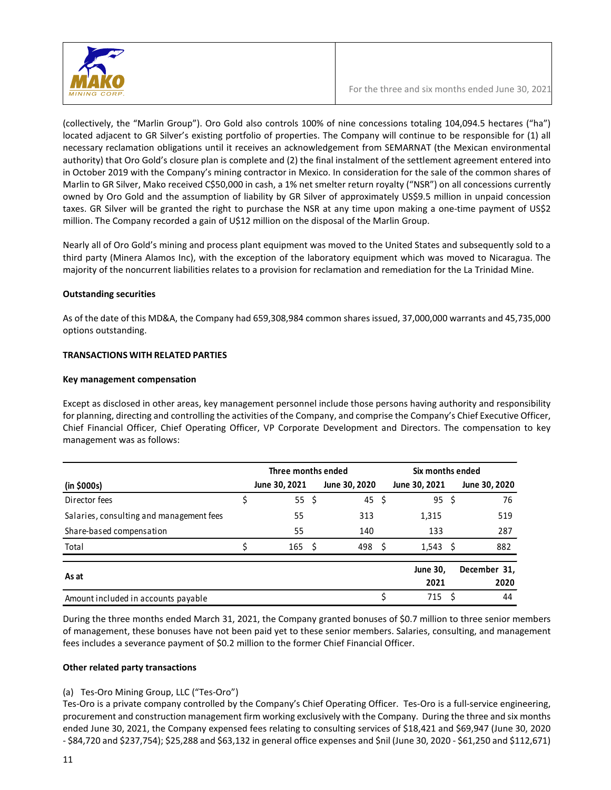

(collectively, the "Marlin Group"). Oro Gold also controls 100% of nine concessions totaling 104,094.5 hectares ("ha") located adjacent to GR Silver's existing portfolio of properties. The Company will continue to be responsible for (1) all necessary reclamation obligations until it receives an acknowledgement from SEMARNAT (the Mexican environmental authority) that Oro Gold's closure plan is complete and (2) the final instalment of the settlement agreement entered into in October 2019 with the Company's mining contractor in Mexico. In consideration for the sale of the common shares of Marlin to GR Silver, Mako received C\$50,000 in cash, a 1% net smelter return royalty ("NSR") on all concessions currently owned by Oro Gold and the assumption of liability by GR Silver of approximately US\$9.5 million in unpaid concession taxes. GR Silver will be granted the right to purchase the NSR at any time upon making a one-time payment of US\$2 million. The Company recorded a gain of U\$12 million on the disposal of the Marlin Group.

Nearly all of Oro Gold's mining and process plant equipment was moved to the United States and subsequently sold to a third party (Minera Alamos Inc), with the exception of the laboratory equipment which was moved to Nicaragua. The majority of the noncurrent liabilities relates to a provision for reclamation and remediation for the La Trinidad Mine.

# **Outstanding securities**

As of the date of this MD&A, the Company had 659,308,984 common shares issued, 37,000,000 warrants and 45,735,000 options outstanding.

# **TRANSACTIONS WITH RELATED PARTIES**

#### **Key management compensation**

Except as disclosed in other areas, key management personnel include those persons having authority and responsibility for planning, directing and controlling the activities of the Company, and comprise the Company's Chief Executive Officer, Chief Financial Officer, Chief Operating Officer, VP Corporate Development and Directors. The compensation to key management was as follows:

|                                          | Three months ended |   |               |    | Six months ended |     |               |  |
|------------------------------------------|--------------------|---|---------------|----|------------------|-----|---------------|--|
| (in \$000s)                              | June 30, 2021      |   | June 30, 2020 |    | June 30, 2021    |     | June 30, 2020 |  |
| Director fees                            | 55S                |   | 45            | S. | $95 \;$ \$       |     | 76            |  |
| Salaries, consulting and management fees | 55                 |   | 313           |    | 1,315            |     | 519           |  |
| Share-based compensation                 | 55                 |   | 140           |    | 133              |     | 287           |  |
| Total                                    | 165                | S | 498           | ς  | $1,543 \quad$ \$ |     | 882           |  |
| As at                                    |                    |   |               |    | <b>June 30,</b>  |     | December 31,  |  |
|                                          |                    |   |               |    | 2021             |     | 2020          |  |
| Amount included in accounts payable      |                    |   |               |    | 715              | - S | 44            |  |

During the three months ended March 31, 2021, the Company granted bonuses of \$0.7 million to three senior members of management, these bonuses have not been paid yet to these senior members. Salaries, consulting, and management fees includes a severance payment of \$0.2 million to the former Chief Financial Officer.

#### **Other related party transactions**

#### (a) Tes-Oro Mining Group, LLC ("Tes-Oro")

Tes-Oro is a private company controlled by the Company's Chief Operating Officer. Tes-Oro is a full-service engineering, procurement and construction management firm working exclusively with the Company. During the three and six months ended June 30, 2021, the Company expensed fees relating to consulting services of \$18,421 and \$69,947 (June 30, 2020 - \$84,720 and \$237,754); \$25,288 and \$63,132 in general office expenses and \$nil (June 30, 2020 - \$61,250 and \$112,671)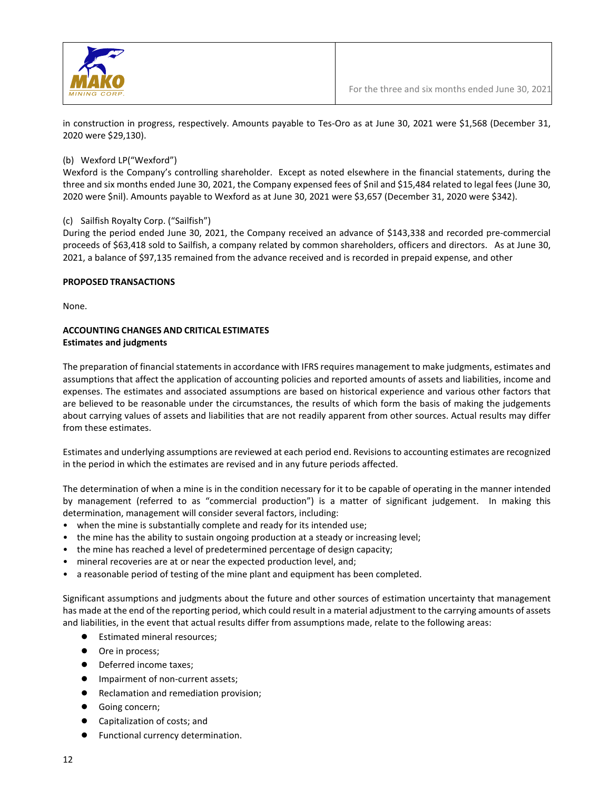

in construction in progress, respectively. Amounts payable to Tes-Oro as at June 30, 2021 were \$1,568 (December 31, 2020 were \$29,130).

# (b) Wexford LP("Wexford")

Wexford is the Company's controlling shareholder. Except as noted elsewhere in the financial statements, during the three and six months ended June 30, 2021, the Company expensed fees of \$nil and \$15,484 related to legal fees (June 30, 2020 were \$nil). Amounts payable to Wexford as at June 30, 2021 were \$3,657 (December 31, 2020 were \$342).

# (c) Sailfish Royalty Corp. ("Sailfish")

During the period ended June 30, 2021, the Company received an advance of \$143,338 and recorded pre-commercial proceeds of \$63,418 sold to Sailfish, a company related by common shareholders, officers and directors. As at June 30, 2021, a balance of \$97,135 remained from the advance received and is recorded in prepaid expense, and other

# **PROPOSED TRANSACTIONS**

None.

# **ACCOUNTING CHANGES AND CRITICAL ESTIMATES Estimates and judgments**

The preparation of financial statements in accordance with IFRS requires management to make judgments, estimates and assumptions that affect the application of accounting policies and reported amounts of assets and liabilities, income and expenses. The estimates and associated assumptions are based on historical experience and various other factors that are believed to be reasonable under the circumstances, the results of which form the basis of making the judgements about carrying values of assets and liabilities that are not readily apparent from other sources. Actual results may differ from these estimates.

Estimates and underlying assumptions are reviewed at each period end. Revisions to accounting estimates are recognized in the period in which the estimates are revised and in any future periods affected.

The determination of when a mine is in the condition necessary for it to be capable of operating in the manner intended by management (referred to as "commercial production") is a matter of significant judgement. In making this determination, management will consider several factors, including:

- when the mine is substantially complete and ready for its intended use;
- the mine has the ability to sustain ongoing production at a steady or increasing level;
- the mine has reached a level of predetermined percentage of design capacity;
- mineral recoveries are at or near the expected production level, and;
- a reasonable period of testing of the mine plant and equipment has been completed.

Significant assumptions and judgments about the future and other sources of estimation uncertainty that management has made at the end of the reporting period, which could result in a material adjustment to the carrying amounts of assets and liabilities, in the event that actual results differ from assumptions made, relate to the following areas:

- **Estimated mineral resources;**
- Ore in process;
- Deferred income taxes;
- Impairment of non-current assets;
- Reclamation and remediation provision;
- Going concern;
- Capitalization of costs; and
- Functional currency determination.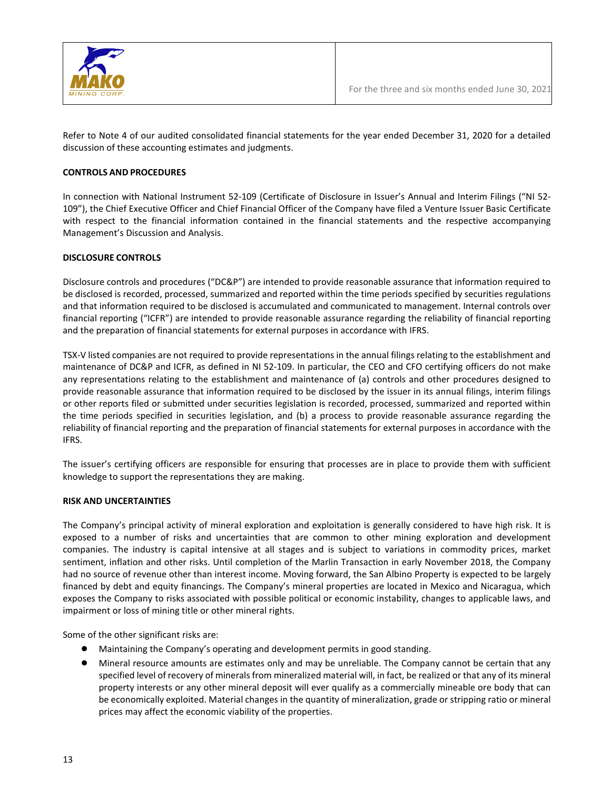

Refer to Note 4 of our audited consolidated financial statements for the year ended December 31, 2020 for a detailed discussion of these accounting estimates and judgments.

#### **CONTROLS AND PROCEDURES**

In connection with National Instrument 52-109 (Certificate of Disclosure in Issuer's Annual and Interim Filings ("NI 52- 109"), the Chief Executive Officer and Chief Financial Officer of the Company have filed a Venture Issuer Basic Certificate with respect to the financial information contained in the financial statements and the respective accompanying Management's Discussion and Analysis.

#### **DISCLOSURE CONTROLS**

Disclosure controls and procedures ("DC&P") are intended to provide reasonable assurance that information required to be disclosed is recorded, processed, summarized and reported within the time periods specified by securities regulations and that information required to be disclosed is accumulated and communicated to management. Internal controls over financial reporting ("ICFR") are intended to provide reasonable assurance regarding the reliability of financial reporting and the preparation of financial statements for external purposes in accordance with IFRS.

TSX-V listed companies are not required to provide representations in the annual filings relating to the establishment and maintenance of DC&P and ICFR, as defined in NI 52-109. In particular, the CEO and CFO certifying officers do not make any representations relating to the establishment and maintenance of (a) controls and other procedures designed to provide reasonable assurance that information required to be disclosed by the issuer in its annual filings, interim filings or other reports filed or submitted under securities legislation is recorded, processed, summarized and reported within the time periods specified in securities legislation, and (b) a process to provide reasonable assurance regarding the reliability of financial reporting and the preparation of financial statements for external purposes in accordance with the IFRS.

The issuer's certifying officers are responsible for ensuring that processes are in place to provide them with sufficient knowledge to support the representations they are making.

#### **RISK AND UNCERTAINTIES**

The Company's principal activity of mineral exploration and exploitation is generally considered to have high risk. It is exposed to a number of risks and uncertainties that are common to other mining exploration and development companies. The industry is capital intensive at all stages and is subject to variations in commodity prices, market sentiment, inflation and other risks. Until completion of the Marlin Transaction in early November 2018, the Company had no source of revenue other than interest income. Moving forward, the San Albino Property is expected to be largely financed by debt and equity financings. The Company's mineral properties are located in Mexico and Nicaragua, which exposes the Company to risks associated with possible political or economic instability, changes to applicable laws, and impairment or loss of mining title or other mineral rights.

Some of the other significant risks are:

- Maintaining the Company's operating and development permits in good standing.
- Mineral resource amounts are estimates only and may be unreliable. The Company cannot be certain that any specified level of recovery of minerals from mineralized material will, in fact, be realized or that any of its mineral property interests or any other mineral deposit will ever qualify as a commercially mineable ore body that can be economically exploited. Material changes in the quantity of mineralization, grade or stripping ratio or mineral prices may affect the economic viability of the properties.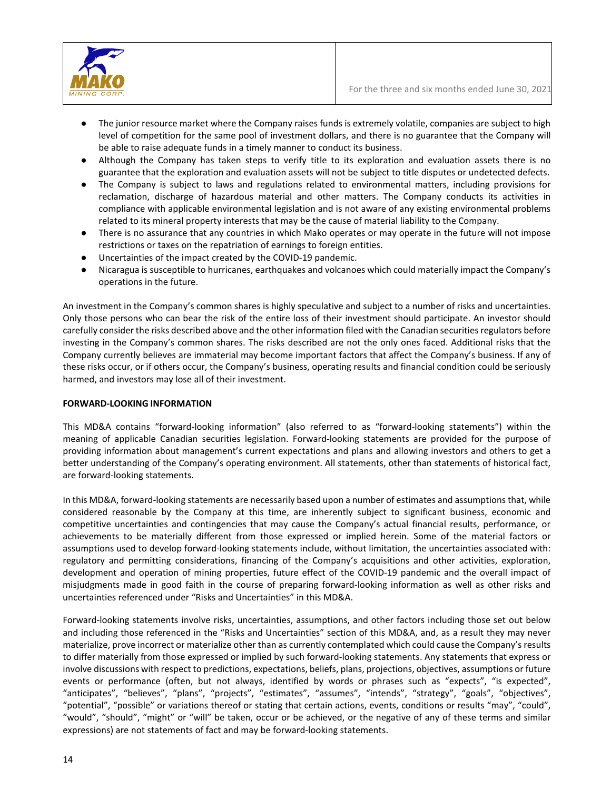

- The junior resource market where the Company raises funds is extremely volatile, companies are subject to high level of competition for the same pool of investment dollars, and there is no guarantee that the Company will be able to raise adequate funds in a timely manner to conduct its business.
- Although the Company has taken steps to verify title to its exploration and evaluation assets there is no guarantee that the exploration and evaluation assets will not be subject to title disputes or undetected defects.
- The Company is subject to laws and regulations related to environmental matters, including provisions for reclamation, discharge of hazardous material and other matters. The Company conducts its activities in compliance with applicable environmental legislation and is not aware of any existing environmental problems related to its mineral property interests that may be the cause of material liability to the Company.
- There is no assurance that any countries in which Mako operates or may operate in the future will not impose restrictions or taxes on the repatriation of earnings to foreign entities.
- Uncertainties of the impact created by the COVID-19 pandemic.
- Nicaragua is susceptible to hurricanes, earthquakes and volcanoes which could materially impact the Company's operations in the future.

An investment in the Company's common shares is highly speculative and subject to a number of risks and uncertainties. Only those persons who can bear the risk of the entire loss of their investment should participate. An investor should carefully consider the risks described above and the other information filed with the Canadian securities regulators before investing in the Company's common shares. The risks described are not the only ones faced. Additional risks that the Company currently believes are immaterial may become important factors that affect the Company's business. If any of these risks occur, or if others occur, the Company's business, operating results and financial condition could be seriously harmed, and investors may lose all of their investment.

#### **FORWARD-LOOKING INFORMATION**

This MD&A contains "forward-looking information" (also referred to as "forward-looking statements") within the meaning of applicable Canadian securities legislation. Forward-looking statements are provided for the purpose of providing information about management's current expectations and plans and allowing investors and others to get a better understanding of the Company's operating environment. All statements, other than statements of historical fact, are forward-looking statements.

In this MD&A, forward-looking statements are necessarily based upon a number of estimates and assumptions that, while considered reasonable by the Company at this time, are inherently subject to significant business, economic and competitive uncertainties and contingencies that may cause the Company's actual financial results, performance, or achievements to be materially different from those expressed or implied herein. Some of the material factors or assumptions used to develop forward-looking statements include, without limitation, the uncertainties associated with: regulatory and permitting considerations, financing of the Company's acquisitions and other activities, exploration, development and operation of mining properties, future effect of the COVID-19 pandemic and the overall impact of misjudgments made in good faith in the course of preparing forward-looking information as well as other risks and uncertainties referenced under "Risks and Uncertainties" in this MD&A.

Forward-looking statements involve risks, uncertainties, assumptions, and other factors including those set out below and including those referenced in the "Risks and Uncertainties" section of this MD&A, and, as a result they may never materialize, prove incorrect or materialize other than as currently contemplated which could cause the Company's results to differ materially from those expressed or implied by such forward-looking statements. Any statements that express or involve discussions with respect to predictions, expectations, beliefs, plans, projections, objectives, assumptions or future events or performance (often, but not always, identified by words or phrases such as "expects", "is expected", "anticipates", "believes", "plans", "projects", "estimates", "assumes", "intends", "strategy", "goals", "objectives", "potential", "possible" or variations thereof or stating that certain actions, events, conditions or results "may", "could", "would", "should", "might" or "will" be taken, occur or be achieved, or the negative of any of these terms and similar expressions) are not statements of fact and may be forward-looking statements.